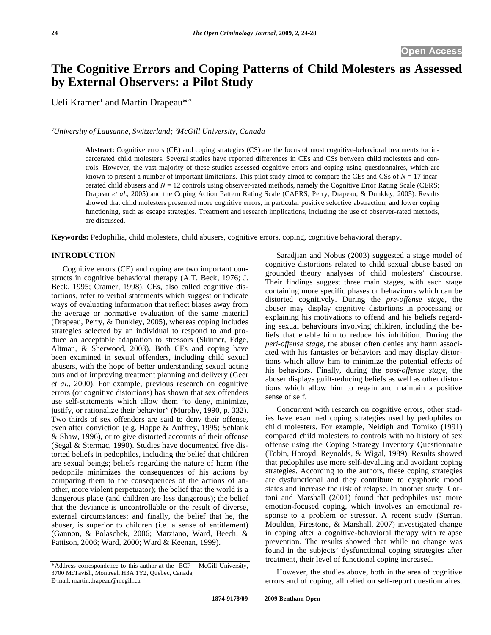# **The Cognitive Errors and Coping Patterns of Child Molesters as Assessed by External Observers: a Pilot Study**

Ueli Kramer<sup>1</sup> and Martin Drapeau\*<sup>2</sup>

*University of Lausanne, Switzerland; -McGill University, Canada* 

**Abstract:** Cognitive errors (CE) and coping strategies (CS) are the focus of most cognitive-behavioral treatments for incarcerated child molesters. Several studies have reported differences in CEs and CSs between child molesters and controls. However, the vast majority of these studies assessed cognitive errors and coping using questionnaires, which are known to present a number of important limitations. This pilot study aimed to compare the CEs and CSs of  $N = 17$  incarcerated child abusers and *N* = 12 controls using observer-rated methods, namely the Cognitive Error Rating Scale (CERS; Drapeau *et al*., 2005) and the Coping Action Pattern Rating Scale (CAPRS; Perry, Drapeau, & Dunkley, 2005). Results showed that child molesters presented more cognitive errors, in particular positive selective abstraction, and lower coping functioning, such as escape strategies. Treatment and research implications, including the use of observer-rated methods, are discussed.

**Keywords:** Pedophilia, child molesters, child abusers, cognitive errors, coping, cognitive behavioral therapy.

## **INTRODUCTION**

 Cognitive errors (CE) and coping are two important constructs in cognitive behavioral therapy (A.T. Beck, 1976; J. Beck, 1995; Cramer, 1998). CEs, also called cognitive distortions, refer to verbal statements which suggest or indicate ways of evaluating information that reflect biases away from the average or normative evaluation of the same material (Drapeau, Perry, & Dunkley, 2005), whereas coping includes strategies selected by an individual to respond to and produce an acceptable adaptation to stressors (Skinner, Edge, Altman, & Sherwood, 2003). Both CEs and coping have been examined in sexual offenders, including child sexual abusers, with the hope of better understanding sexual acting outs and of improving treatment planning and delivery (Geer *et al*., 2000). For example, previous research on cognitive errors (or cognitive distortions) has shown that sex offenders use self-statements which allow them "to deny, minimize, justify, or rationalize their behavior" (Murphy, 1990, p. 332). Two thirds of sex offenders are said to deny their offense, even after conviction (e.g. Happe & Auffrey, 1995; Schlank & Shaw, 1996), or to give distorted accounts of their offense (Segal & Stermac, 1990). Studies have documented five distorted beliefs in pedophiles, including the belief that children are sexual beings; beliefs regarding the nature of harm (the pedophile minimizes the consequences of his actions by comparing them to the consequences of the actions of another, more violent perpetuator); the belief that the world is a dangerous place (and children are less dangerous); the belief that the deviance is uncontrollable or the result of diverse, external circumstances; and finally, the belief that he, the abuser, is superior to children (i.e. a sense of entitlement) (Gannon, & Polaschek, 2006; Marziano, Ward, Beech, & Pattison, 2006; Ward, 2000; Ward & Keenan, 1999).

 Saradjian and Nobus (2003) suggested a stage model of cognitive distortions related to child sexual abuse based on grounded theory analyses of child molesters' discourse. Their findings suggest three main stages, with each stage containing more specific phases or behaviours which can be distorted cognitively. During the *pre-offense stage*, the abuser may display cognitive distortions in processing or explaining his motivations to offend and his beliefs regarding sexual behaviours involving children, including the beliefs that enable him to reduce his inhibition. During the *peri-offense stage*, the abuser often denies any harm associated with his fantasies or behaviors and may display distortions which allow him to minimize the potential effects of his behaviors. Finally, during the *post-offense stage*, the abuser displays guilt-reducing beliefs as well as other distortions which allow him to regain and maintain a positive sense of self.

 Concurrent with research on cognitive errors, other studies have examined coping strategies used by pedophiles or child molesters. For example, Neidigh and Tomiko (1991) compared child molesters to controls with no history of sex offense using the Coping Strategy Inventory Questionnaire (Tobin, Horoyd, Reynolds, & Wigal, 1989). Results showed that pedophiles use more self-devaluing and avoidant coping strategies. According to the authors, these coping strategies are dysfunctional and they contribute to dysphoric mood states and increase the risk of relapse. In another study, Cortoni and Marshall (2001) found that pedophiles use more emotion-focused coping, which involves an emotional response to a problem or stressor. A recent study (Serran, Moulden, Firestone, & Marshall, 2007) investigated change in coping after a cognitive-behavioral therapy with relapse prevention. The results showed that while no change was found in the subjects' dysfunctional coping strategies after treatment, their level of functional coping increased.

 However, the studies above, both in the area of cognitive errors and of coping, all relied on self-report questionnaires.

<sup>\*</sup>Address correspondence to this author at the ECP – McGill University, 3700 McTavish, Montreal, H3A 1Y2, Quebec, Canada; E-mail: martin.drapeau@mcgill.ca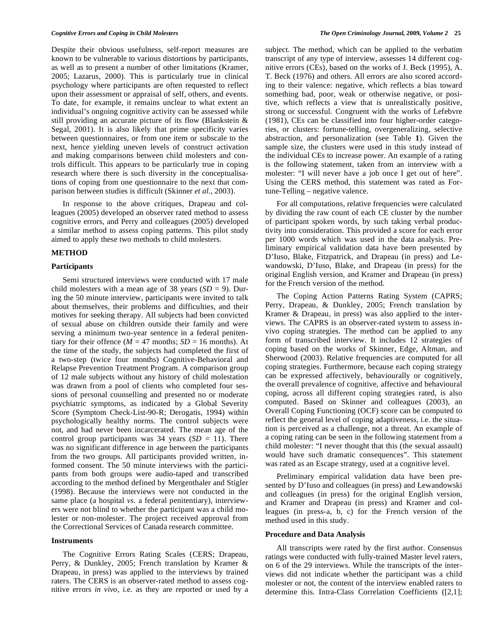Despite their obvious usefulness, self-report measures are known to be vulnerable to various distortions by participants, as well as to present a number of other limitations (Kramer, 2005; Lazarus, 2000). This is particularly true in clinical psychology where participants are often requested to reflect upon their assessment or appraisal of self, others, and events. To date, for example, it remains unclear to what extent an individual's ongoing cognitive activity can be assessed while still providing an accurate picture of its flow (Blankstein & Segal, 2001). It is also likely that prime specificity varies between questionnaires, or from one item or subscale to the next, hence yielding uneven levels of construct activation and making comparisons between child molesters and controls difficult. This appears to be particularly true in coping research where there is such diversity in the conceptualisations of coping from one questionnaire to the next that comparison between studies is difficult (Skinner *et al*., 2003).

 In response to the above critiques, Drapeau and colleagues (2005) developed an observer rated method to assess cognitive errors, and Perry and colleagues (2005) developed a similar method to assess coping patterns. This pilot study aimed to apply these two methods to child molesters.

## **METHOD**

#### **Participants**

 Semi structured interviews were conducted with 17 male child molesters with a mean age of 38 years  $(SD = 9)$ . During the 50 minute interview, participants were invited to talk about themselves, their problems and difficulties, and their motives for seeking therapy. All subjects had been convicted of sexual abuse on children outside their family and were serving a minimum two-year sentence in a federal penitentiary for their offence ( $M = 47$  months;  $SD = 16$  months). At the time of the study, the subjects had completed the first of a two-step (twice four months) Cognitive-Behavioral and Relapse Prevention Treatment Program. A comparison group of 12 male subjects without any history of child molestation was drawn from a pool of clients who completed four sessions of personal counselling and presented no or moderate psychiatric symptoms, as indicated by a Global Severity Score (Symptom Check-List-90-R; Derogatis, 1994) within psychologically healthy norms. The control subjects were not, and had never been incarcerated. The mean age of the control group participants was  $34$  years  $(SD = 11)$ . There was no significant difference in age between the participants from the two groups. All participants provided written, informed consent. The 50 minute interviews with the participants from both groups were audio-taped and transcribed according to the method defined by Mergenthaler and Stigler (1998). Because the interviews were not conducted in the same place (a hospital *vs*. a federal penitentiary), interviewers were not blind to whether the participant was a child molester or non-molester. The project received approval from the Correctional Services of Canada research committee.

#### **Instruments**

 The Cognitive Errors Rating Scales (CERS; Drapeau, Perry, & Dunkley, 2005; French translation by Kramer & Drapeau, in press) was applied to the interviews by trained raters. The CERS is an observer-rated method to assess cognitive errors *in vivo*, i.e. as they are reported or used by a

subject. The method, which can be applied to the verbatim transcript of any type of interview, assesses 14 different cognitive errors (CEs), based on the works of J. Beck (1995), A. T. Beck (1976) and others. All errors are also scored according to their valence: negative, which reflects a bias toward something bad, poor, weak or otherwise negative, or positive, which reflects a view that is unrealistically positive, strong or successful. Congruent with the works of Lefebvre (1981), CEs can be classified into four higher-order categories, or clusters: fortune-telling, overgeneralizing, selective abstraction, and personalization (see Table **1**). Given the sample size, the clusters were used in this study instead of the individual CEs to increase power. An example of a rating is the following statement, taken from an interview with a molester: "I will never have a job once I get out of here". Using the CERS method, this statement was rated as Fortune-Telling – negative valence.

 For all computations, relative frequencies were calculated by dividing the raw count of each CE cluster by the number of participant spoken words, by such taking verbal productivity into consideration. This provided a score for each error per 1000 words which was used in the data analysis. Preliminary empirical validation data have been presented by D'Iuso, Blake, Fitzpatrick, and Drapeau (in press) and Lewandowski, D'Iuso, Blake, and Drapeau (in press) for the original English version, and Kramer and Drapeau (in press) for the French version of the method.

 The Coping Action Patterns Rating System (CAPRS; Perry, Drapeau, & Dunkley, 2005; French translation by Kramer & Drapeau, in press) was also applied to the interviews. The CAPRS is an observer-rated system to assess invivo coping strategies. The method can be applied to any form of transcribed interview. It includes 12 strategies of coping based on the works of Skinner, Edge, Altman, and Sherwood (2003). Relative frequencies are computed for all coping strategies. Furthermore, because each coping strategy can be expressed affectively, behaviourally or cognitively, the overall prevalence of cognitive, affective and behavioural coping, across all different coping strategies rated, is also computed. Based on Skinner and colleagues (2003), an Overall Coping Functioning (OCF) score can be computed to reflect the general level of coping adaptiveness, i.e. the situation is perceived as a challenge, not a threat. An example of a coping rating can be seen in the following statement from a child molester: "I never thought that this (the sexual assault) would have such dramatic consequences". This statement was rated as an Escape strategy, used at a cognitive level.

 Preliminary empirical validation data have been presented by D'Iuso and colleagues (in press) and Lewandowski and colleagues (in press) for the original English version, and Kramer and Drapeau (in press) and Kramer and colleagues (in press-a, b, c) for the French version of the method used in this study.

#### **Procedure and Data Analysis**

 All transcripts were rated by the first author. Consensus ratings were conducted with fully-trained Master level raters, on 6 of the 29 interviews. While the transcripts of the interviews did not indicate whether the participant was a child molester or not, the content of the interview enabled raters to determine this. Intra-Class Correlation Coefficients ([2,1];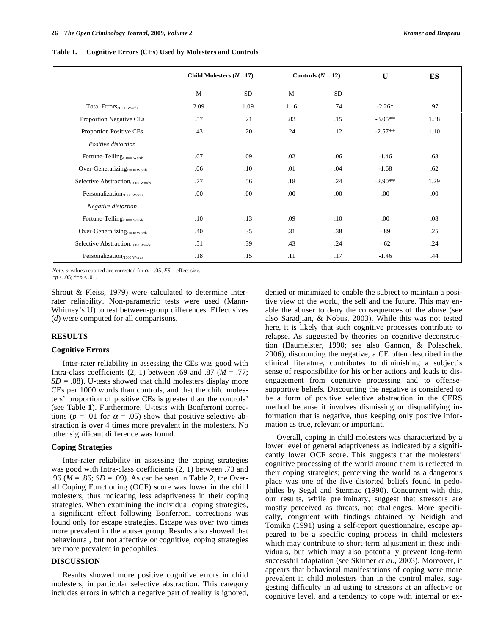|                                              | Child Molesters $(N=17)$ |      | Controls $(N = 12)$ |      | U         | ES   |
|----------------------------------------------|--------------------------|------|---------------------|------|-----------|------|
|                                              | M                        | SD   | M                   | SD   |           |      |
| Total Errors/1000 Words                      | 2.09                     | 1.09 | 1.16                | .74  | $-2.26*$  | .97  |
| Proportion Negative CEs                      | .57                      | .21  | .83                 | .15  | $-3.05**$ | 1.38 |
| Proportion Positive CEs                      | .43                      | .20  | .24                 | .12  | $-2.57**$ | 1.10 |
| Positive distortion                          |                          |      |                     |      |           |      |
| Fortune-Telling <sub>/1000</sub> Words       | .07                      | .09  | .02                 | .06  | $-1.46$   | .63  |
| Over-Generalizing/1000 Words                 | .06                      | .10  | .01                 | .04  | $-1.68$   | .62  |
| Selective Abstraction <sub>/1000</sub> words | .77                      | .56  | .18                 | .24  | $-2.90**$ | 1.29 |
| Personalization <sub>/1000</sub> words       | .00                      | .00. | .00.                | .00. | .00.      | .00. |
| Negative distortion                          |                          |      |                     |      |           |      |
| Fortune-Telling <sub>/1000</sub> Words       | .10                      | .13  | .09                 | .10  | .00       | .08  |
| Over-Generalizing/1000 Words                 | .40                      | .35  | .31                 | .38  | $-.89$    | .25  |
| Selective Abstraction <sub>/1000</sub> Words | .51                      | .39  | .43                 | .24  | $-.62$    | .24  |
| Personalization/1000 Words                   | .18                      | .15  | .11                 | .17  | $-1.46$   | .44  |

**Table 1. Cognitive Errors (CEs) Used by Molesters and Controls** 

*Note*. *p*-values reported are corrected for  $\alpha = .05$ ; *ES* = effect size.

*\*p* < .05; \*\**p* < .01.

Shrout & Fleiss, 1979) were calculated to determine interrater reliability. Non-parametric tests were used (Mann-Whitney's U) to test between-group differences. Effect sizes (*d*) were computed for all comparisons.

#### **RESULTS**

## **Cognitive Errors**

 Inter-rater reliability in assessing the CEs was good with Intra-class coefficients  $(2, 1)$  between .69 and .87  $(M = .77)$ ;  $SD = .08$ ). U-tests showed that child molesters display more CEs per 1000 words than controls, and that the child molesters' proportion of positive CEs is greater than the controls' (see Table **1**). Furthermore, U-tests with Bonferroni corrections ( $p = .01$  for  $\alpha = .05$ ) show that positive selective abstraction is over 4 times more prevalent in the molesters. No other significant difference was found.

## **Coping Strategies**

 Inter-rater reliability in assessing the coping strategies was good with Intra-class coefficients (2, 1) between .73 and .96 (*M* = .86; *SD* = .09). As can be seen in Table **2**, the Overall Coping Functioning (OCF) score was lower in the child molesters, thus indicating less adaptiveness in their coping strategies. When examining the individual coping strategies, a significant effect following Bonferroni corrections was found only for escape strategies. Escape was over two times more prevalent in the abuser group. Results also showed that behavioural, but not affective or cognitive, coping strategies are more prevalent in pedophiles.

# **DISCUSSION**

 Results showed more positive cognitive errors in child molesters, in particular selective abstraction. This category includes errors in which a negative part of reality is ignored, denied or minimized to enable the subject to maintain a positive view of the world, the self and the future. This may enable the abuser to deny the consequences of the abuse (see also Saradjian, & Nobus, 2003). While this was not tested here, it is likely that such cognitive processes contribute to relapse. As suggested by theories on cognitive deconstruction (Baumeister, 1990; see also Gannon, & Polaschek, 2006), discounting the negative, a CE often described in the clinical literature, contributes to diminishing a subject's sense of responsibility for his or her actions and leads to disengagement from cognitive processing and to offensesupportive beliefs. Discounting the negative is considered to be a form of positive selective abstraction in the CERS method because it involves dismissing or disqualifying information that is negative, thus keeping only positive information as true, relevant or important.

 Overall, coping in child molesters was characterized by a lower level of general adaptiveness as indicated by a significantly lower OCF score. This suggests that the molesters' cognitive processing of the world around them is reflected in their coping strategies; perceiving the world as a dangerous place was one of the five distorted beliefs found in pedophiles by Segal and Stermac (1990). Concurrent with this, our results, while preliminary, suggest that stressors are mostly perceived as threats, not challenges. More specifically, congruent with findings obtained by Neidigh and Tomiko (1991) using a self-report questionnaire, escape appeared to be a specific coping process in child molesters which may contribute to short-term adjustment in these individuals, but which may also potentially prevent long-term successful adaptation (see Skinner *et al*., 2003). Moreover, it appears that behavioral manifestations of coping were more prevalent in child molesters than in the control males, suggesting difficulty in adjusting to stressors at an affective or cognitive level, and a tendency to cope with internal or ex-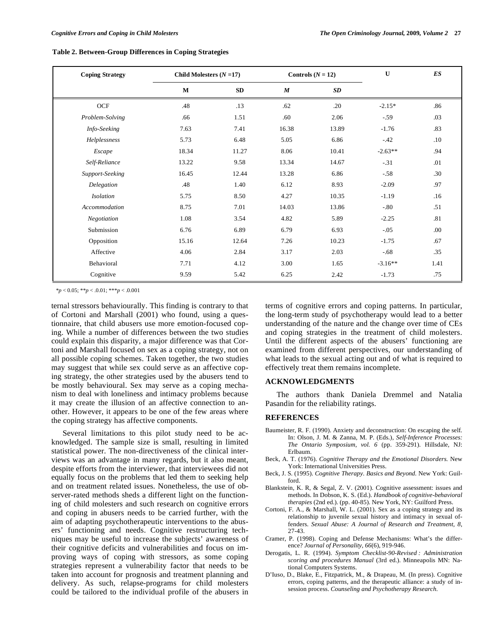**Table 2. Between-Group Differences in Coping Strategies** 

| <b>Coping Strategy</b> | Child Molesters $(N=17)$ |       | Controls $(N = 12)$ |       | U         | ES   |
|------------------------|--------------------------|-------|---------------------|-------|-----------|------|
|                        | $\bf{M}$                 | SD    | $\boldsymbol{M}$    | SD    |           |      |
| <b>OCF</b>             | .48                      | .13   | .62                 | .20   | $-2.15*$  | .86  |
| Problem-Solving        | .66                      | 1.51  | .60                 | 2.06  | $-.59$    | .03  |
| Info-Seeking           | 7.63                     | 7.41  | 16.38               | 13.89 | $-1.76$   | .83  |
| Helplessness           | 5.73                     | 6.48  | 5.05                | 6.86  | $-42$     | .10  |
| Escape                 | 18.34                    | 11.27 | 8.06                | 10.41 | $-2.63**$ | .94  |
| Self-Reliance          | 13.22                    | 9.58  | 13.34               | 14.67 | $-.31$    | .01  |
| Support-Seeking        | 16.45                    | 12.44 | 13.28               | 6.86  | $-.58$    | .30  |
| Delegation             | .48                      | 1.40  | 6.12                | 8.93  | $-2.09$   | .97  |
| <b>Isolation</b>       | 5.75                     | 8.50  | 4.27                | 10.35 | $-1.19$   | .16  |
| Accommodation          | 8.75                     | 7.01  | 14.03               | 13.86 | $-0.80$   | .51  |
| Negotiation            | 1.08                     | 3.54  | 4.82                | 5.89  | $-2.25$   | .81  |
| Submission             | 6.76                     | 6.89  | 6.79                | 6.93  | $-.05$    | .00. |
| Opposition             | 15.16                    | 12.64 | 7.26                | 10.23 | $-1.75$   | .67  |
| Affective              | 4.06                     | 2.84  | 3.17                | 2.03  | $-.68$    | .35  |
| Behavioral             | 7.71                     | 4.12  | 3.00                | 1.65  | $-3.16**$ | 1.41 |
| Cognitive              | 9.59                     | 5.42  | 6.25                | 2.42  | $-1.73$   | .75  |

*\*p* < 0.05; \*\**p* < .0.01; \*\*\**p* < .0.001

ternal stressors behaviourally. This finding is contrary to that of Cortoni and Marshall (2001) who found, using a questionnaire, that child abusers use more emotion-focused coping. While a number of differences between the two studies could explain this disparity, a major difference was that Cortoni and Marshall focused on sex as a coping strategy, not on all possible coping schemes. Taken together, the two studies may suggest that while sex could serve as an affective coping strategy, the other strategies used by the abusers tend to be mostly behavioural. Sex may serve as a coping mechanism to deal with loneliness and intimacy problems because it may create the illusion of an affective connection to another. However, it appears to be one of the few areas where the coping strategy has affective components.

 Several limitations to this pilot study need to be acknowledged. The sample size is small, resulting in limited statistical power. The non-directiveness of the clinical interviews was an advantage in many regards, but it also meant, despite efforts from the interviewer, that interviewees did not equally focus on the problems that led them to seeking help and on treatment related issues. Nonetheless, the use of observer-rated methods sheds a different light on the functioning of child molesters and such research on cognitive errors and coping in abusers needs to be carried further, with the aim of adapting psychotherapeutic interventions to the abusers' functioning and needs. Cognitive restructuring techniques may be useful to increase the subjects' awareness of their cognitive deficits and vulnerabilities and focus on improving ways of coping with stressors, as some coping strategies represent a vulnerability factor that needs to be taken into account for prognosis and treatment planning and delivery. As such, relapse-programs for child molesters could be tailored to the individual profile of the abusers in

terms of cognitive errors and coping patterns. In particular, the long-term study of psychotherapy would lead to a better understanding of the nature and the change over time of CEs and coping strategies in the treatment of child molesters. Until the different aspects of the abusers' functioning are examined from different perspectives, our understanding of what leads to the sexual acting out and of what is required to effectively treat them remains incomplete.

## **ACKNOWLEDGMENTS**

 The authors thank Daniela Dremmel and Natalia Pasandin for the reliability ratings.

### **REFERENCES**

- Baumeister, R. F. (1990). Anxiety and deconstruction: On escaping the self. In: Olson, J. M. & Zanna, M. P. (Eds.), *Self-Inference Processes: The Ontario Symposium, vol. 6* (pp. 359-291). Hillsdale, NJ: Erlbaum.
- Beck, A. T. (1976). *Cognitive Therapy and the Emotional Disorders.* New York: International Universities Press.
- Beck, J. S. (1995). *Cognitive Therapy. Basics and Beyond.* New York: Guilford.
- Blankstein, K. R, & Segal, Z. V. (2001). Cognitive assessment: issues and methods. In Dobson, K. S. (Ed.). *Handbook of cognitive-behavioral therapies* (2nd ed.). (pp. 40-85). New York, NY: Guilford Press.
- Cortoni, F. A., & Marshall, W. L. (2001). Sex as a coping strategy and its relationship to juvenile sexual history and intimacy in sexual offenders. *Sexual Abuse: A Journal of Research and Treatment, 8*, 27-43.
- Cramer, P. (1998). Coping and Defense Mechanisms: What's the difference? *Journal of Personality, 66*(6), 919-946.
- Derogatis, L. R. (1994). *Symptom Checklist-90-Revised : Administration scoring and procedures Manual* (3rd ed.). Minneapolis MN: National Computers Systems.
- D'Iuso, D., Blake, E., Fitzpatrick, M., & Drapeau, M. (In press). Cognitive errors, coping patterns, and the therapeutic alliance: a study of insession process. *Counseling and Psychotherapy Research.*